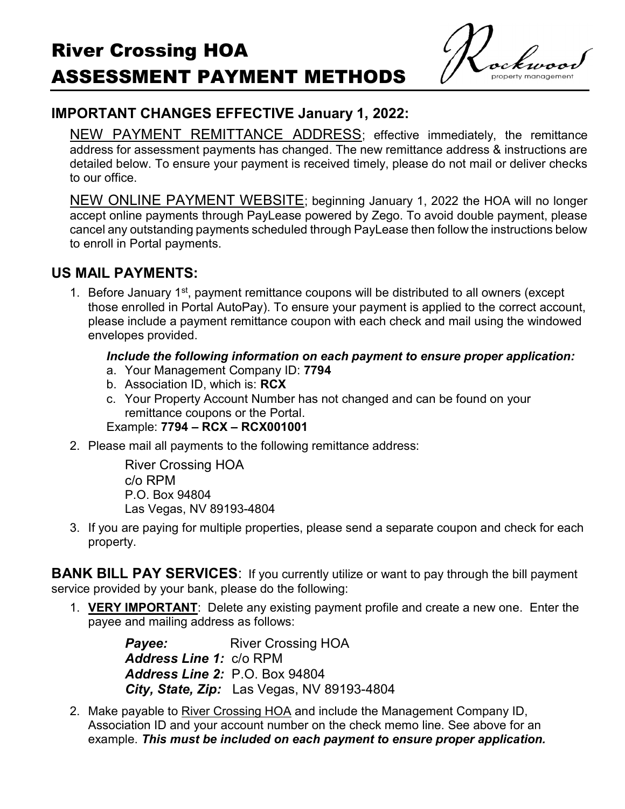### IMPORTANT CHANGES EFFECTIVE January 1, 2022:

NEW PAYMENT REMITTANCE ADDRESS; effective immediately, the remittance address for assessment payments has changed. The new remittance address & instructions are detailed below. To ensure your payment is received timely, please do not mail or deliver checks to our office.

NEW ONLINE PAYMENT WEBSITE; beginning January 1, 2022 the HOA will no longer accept online payments through PayLease powered by Zego. To avoid double payment, please cancel any outstanding payments scheduled through PayLease then follow the instructions below to enroll in Portal payments.

#### US MAIL PAYMENTS:

1. Before January 1<sup>st</sup>, payment remittance coupons will be distributed to all owners (except those enrolled in Portal AutoPay). To ensure your payment is applied to the correct account, please include a payment remittance coupon with each check and mail using the windowed envelopes provided.

#### Include the following information on each payment to ensure proper application:

- a. Your Management Company ID: 7794
- b. Association ID, which is: RCX
- c. Your Property Account Number has not changed and can be found on your remittance coupons or the Portal. Example: 7794 – RCX – RCX001001
- 2. Please mail all payments to the following remittance address:

River Crossing HOA c/o RPM P.O. Box 94804 Las Vegas, NV 89193-4804

3. If you are paying for multiple properties, please send a separate coupon and check for each property.

**BANK BILL PAY SERVICES:** If you currently utilize or want to pay through the bill payment service provided by your bank, please do the following:

1. VERY IMPORTANT: Delete any existing payment profile and create a new one. Enter the payee and mailing address as follows:

> **Payee:** River Crossing HOA Address Line 1: c/o RPM Address Line 2: P.O. Box 94804 City, State, Zip: Las Vegas, NV 89193-4804

2. Make payable to River Crossing HOA and include the Management Company ID, Association ID and your account number on the check memo line. See above for an example. This must be included on each payment to ensure proper application.